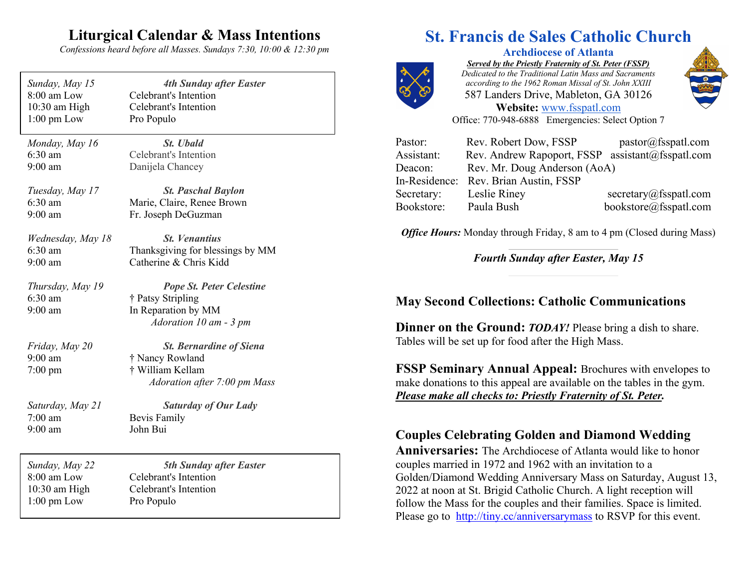## **Liturgical Calendar & Mass Intentions**

*Confessions heard before all Masses. Sundays 7:30, 10:00 & 12:30 pm*

| Sunday, May 15                                   | <b>4th Sunday after Easter</b>                                                                        |
|--------------------------------------------------|-------------------------------------------------------------------------------------------------------|
| 8:00 am Low                                      | Celebrant's Intention                                                                                 |
| 10:30 am High                                    | Celebrant's Intention                                                                                 |
| $1:00$ pm Low                                    | Pro Populo                                                                                            |
| Monday, May 16                                   | <b>St.</b> Ubald                                                                                      |
| $6:30$ am                                        | Celebrant's Intention                                                                                 |
| $9:00$ am                                        | Danijela Chancey                                                                                      |
| Tuesday, May 17                                  | <b>St. Paschal Baylon</b>                                                                             |
| $6:30$ am                                        | Marie, Claire, Renee Brown                                                                            |
| $9:00$ am                                        | Fr. Joseph DeGuzman                                                                                   |
| Wednesday, May 18                                | <b>St. Venantius</b>                                                                                  |
| $6:30$ am                                        | Thanksgiving for blessings by MM                                                                      |
| $9:00$ am                                        | Catherine & Chris Kidd                                                                                |
| Thursday, May 19<br>$6:30$ am<br>$9:00$ am       | <b>Pope St. Peter Celestine</b><br>† Patsy Stripling<br>In Reparation by MM<br>Adoration 10 am - 3 pm |
| Friday, May 20<br>$9:00$ am<br>$7:00 \text{ pm}$ | <b>St. Bernardine of Siena</b><br>† Nancy Rowland<br>† William Kellam<br>Adoration after 7:00 pm Mass |
| Saturday, May 21                                 | <b>Saturday of Our Lady</b>                                                                           |
| $7:00$ am                                        | <b>Bevis Family</b>                                                                                   |
| $9:00$ am                                        | John Bui                                                                                              |
| Sunday, May 22                                   | <b>5th Sunday after Easter</b>                                                                        |
| 8:00 am Low                                      | Celebrant's Intention                                                                                 |
| 10:30 am High                                    | Celebrant's Intention                                                                                 |
| $1:00$ pm Low                                    | Pro Populo                                                                                            |

# **St. Francis de Sales Catholic Church**



**Archdiocese of Atlanta** *Served by the Priestly Fraternity of St. Peter (FSSP) Dedicated to the Traditional Latin Mass and Sacraments according to the 1962 Roman Missal of St. John XXIII* 587 Landers Drive, Mableton, GA 30126 **Website:** www.fsspatl.com



Office: 770-948-6888 Emergencies: Select Option 7

| Pastor:    | Rev. Robert Dow, FSSP                            | pastor@fsspath.com    |
|------------|--------------------------------------------------|-----------------------|
| Assistant: | Rev. Andrew Rapoport, FSSP assistant@fsspatl.com |                       |
| Deacon:    | Rev. Mr. Doug Anderson (AoA)                     |                       |
|            | In-Residence: Rev. Brian Austin, FSSP            |                       |
| Secretary: | Leslie Riney                                     | secretary@fsspatl.com |
| Bookstore: | Paula Bush                                       | bookstore@fsspatl.com |

*Office Hours:* Monday through Friday, 8 am to 4 pm (Closed during Mass)

*Fourth Sunday after Easter, May 15*

### **May Second Collections: Catholic Communications**

**Dinner on the Ground:** *TODAY!* Please bring a dish to share. Tables will be set up for food after the High Mass.

**FSSP Seminary Annual Appeal:** Brochures with envelopes to make donations to this appeal are available on the tables in the gym. *Please make all checks to: Priestly Fraternity of St. Peter.*

### **Couples Celebrating Golden and Diamond Wedding**

**Anniversaries:** The Archdiocese of Atlanta would like to honor couples married in 1972 and 1962 with an invitation to a Golden/Diamond Wedding Anniversary Mass on Saturday, August 13, 2022 at noon at St. Brigid Catholic Church. A light reception will follow the Mass for the couples and their families. Space is limited. Please go to http://tiny.cc/anniversarymass to RSVP for this event.